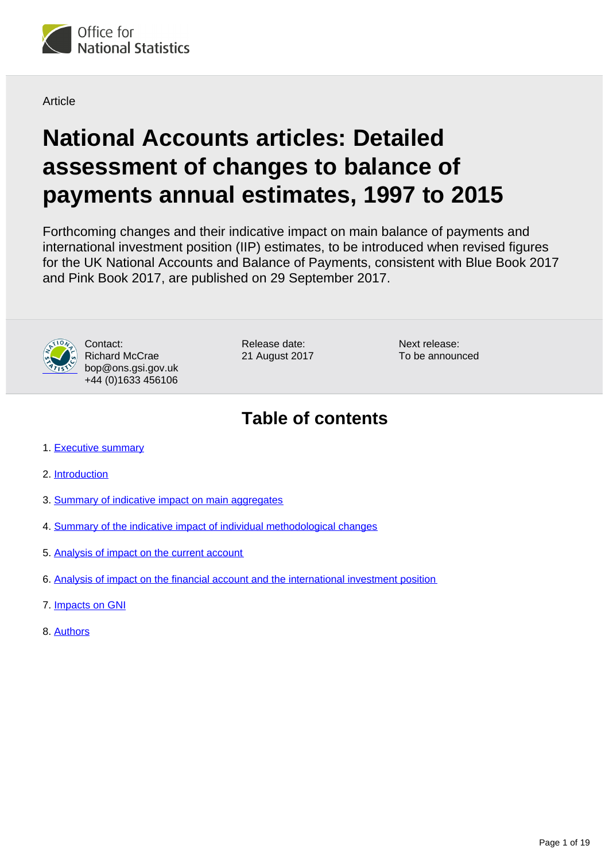

**Article** 

# **National Accounts articles: Detailed assessment of changes to balance of payments annual estimates, 1997 to 2015**

Forthcoming changes and their indicative impact on main balance of payments and international investment position (IIP) estimates, to be introduced when revised figures for the UK National Accounts and Balance of Payments, consistent with Blue Book 2017 and Pink Book 2017, are published on 29 September 2017.



Contact: Richard McCrae bop@ons.gsi.gov.uk +44 (0)1633 456106

Release date: 21 August 2017 Next release: To be announced

## **Table of contents**

- 1. [Executive summary](#page-1-0)
- 2. [Introduction](#page-1-1)
- 3. [Summary of indicative impact on main aggregates](#page-2-0)
- 4. [Summary of the indicative impact of individual methodological changes](#page-4-0)
- 5. [Analysis of impact on the current account](#page-9-0)
- 6. [Analysis of impact on the financial account and the international investment position](#page-15-0)
- 7. [Impacts on GNI](#page-17-0)
- 8. [Authors](#page-18-0)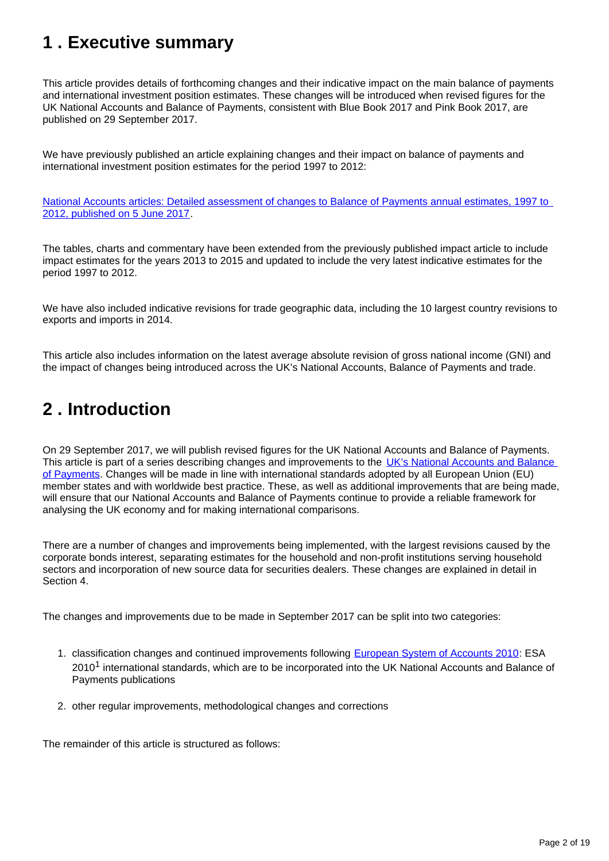## <span id="page-1-0"></span>**1 . Executive summary**

This article provides details of forthcoming changes and their indicative impact on the main balance of payments and international investment position estimates. These changes will be introduced when revised figures for the UK National Accounts and Balance of Payments, consistent with Blue Book 2017 and Pink Book 2017, are published on 29 September 2017.

We have previously published an article explaining changes and their impact on balance of payments and international investment position estimates for the period 1997 to 2012:

[National Accounts articles: Detailed assessment of changes to Balance of Payments annual estimates, 1997 to](https://www.ons.gov.uk/economy/nationalaccounts/uksectoraccounts/articles/nationalaccountsarticles/detailedassessmentofchangestobalanceofpaymentsannualestimates1997to2012)  [2012, published on 5 June 2017](https://www.ons.gov.uk/economy/nationalaccounts/uksectoraccounts/articles/nationalaccountsarticles/detailedassessmentofchangestobalanceofpaymentsannualestimates1997to2012).

The tables, charts and commentary have been extended from the previously published impact article to include impact estimates for the years 2013 to 2015 and updated to include the very latest indicative estimates for the period 1997 to 2012.

We have also included indicative revisions for trade geographic data, including the 10 largest country revisions to exports and imports in 2014.

This article also includes information on the latest average absolute revision of gross national income (GNI) and the impact of changes being introduced across the UK's National Accounts, Balance of Payments and trade.

## <span id="page-1-1"></span>**2 . Introduction**

On 29 September 2017, we will publish revised figures for the UK National Accounts and Balance of Payments. This article is part of a series describing changes and improvements to the [UK's National Accounts and Balance](https://www.ons.gov.uk/economy/nationalaccounts/uksectoraccounts/articles/nationalaccountsarticles/previousReleases)  [of Payments.](https://www.ons.gov.uk/economy/nationalaccounts/uksectoraccounts/articles/nationalaccountsarticles/previousReleases) Changes will be made in line with international standards adopted by all European Union (EU) member states and with worldwide best practice. These, as well as additional improvements that are being made, will ensure that our National Accounts and Balance of Payments continue to provide a reliable framework for analysing the UK economy and for making international comparisons.

There are a number of changes and improvements being implemented, with the largest revisions caused by the corporate bonds interest, separating estimates for the household and non-profit institutions serving household sectors and incorporation of new source data for securities dealers. These changes are explained in detail in Section 4.

The changes and improvements due to be made in September 2017 can be split into two categories:

- 1. classification changes and continued improvements following [European System of Accounts 2010:](http://ec.europa.eu/eurostat/web/esa-2010) ESA  $2010<sup>1</sup>$  international standards, which are to be incorporated into the UK National Accounts and Balance of Payments publications
- 2. other regular improvements, methodological changes and corrections

The remainder of this article is structured as follows: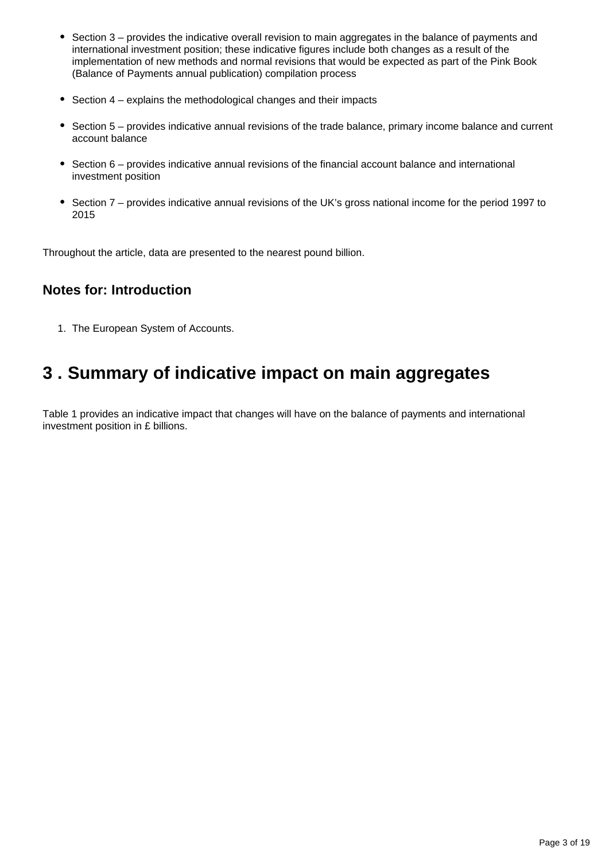- Section 3 provides the indicative overall revision to main aggregates in the balance of payments and international investment position; these indicative figures include both changes as a result of the implementation of new methods and normal revisions that would be expected as part of the Pink Book (Balance of Payments annual publication) compilation process
- Section 4 explains the methodological changes and their impacts
- Section 5 provides indicative annual revisions of the trade balance, primary income balance and current account balance
- Section 6 provides indicative annual revisions of the financial account balance and international investment position
- Section 7 provides indicative annual revisions of the UK's gross national income for the period 1997 to 2015

Throughout the article, data are presented to the nearest pound billion.

### **Notes for: Introduction**

1. The European System of Accounts.

## <span id="page-2-0"></span>**3 . Summary of indicative impact on main aggregates**

Table 1 provides an indicative impact that changes will have on the balance of payments and international investment position in £ billions.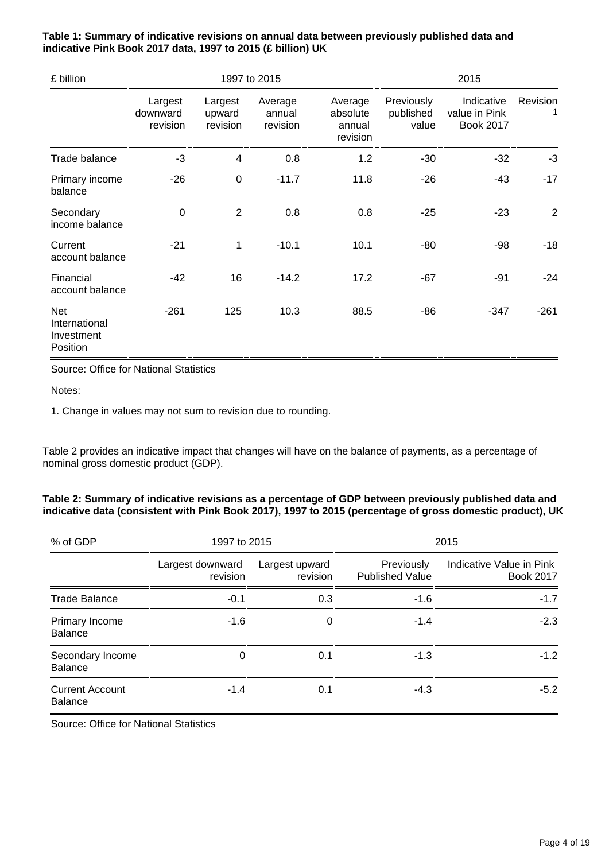| £ billion                                             | 1997 to 2015                    |                               |                               |                                           | 2015                             |                                                 |                |
|-------------------------------------------------------|---------------------------------|-------------------------------|-------------------------------|-------------------------------------------|----------------------------------|-------------------------------------------------|----------------|
|                                                       | Largest<br>downward<br>revision | Largest<br>upward<br>revision | Average<br>annual<br>revision | Average<br>absolute<br>annual<br>revision | Previously<br>published<br>value | Indicative<br>value in Pink<br><b>Book 2017</b> | Revision       |
| Trade balance                                         | $-3$                            | 4                             | 0.8                           | 1.2                                       | $-30$                            | $-32$                                           | $-3$           |
| Primary income<br>balance                             | $-26$                           | $\mathbf 0$                   | $-11.7$                       | 11.8                                      | $-26$                            | -43                                             | $-17$          |
| Secondary<br>income balance                           | $\mathbf 0$                     | $\overline{2}$                | 0.8                           | 0.8                                       | $-25$                            | $-23$                                           | $\overline{2}$ |
| Current<br>account balance                            | $-21$                           | 1                             | $-10.1$                       | 10.1                                      | $-80$                            | $-98$                                           | $-18$          |
| Financial<br>account balance                          | -42                             | 16                            | $-14.2$                       | 17.2                                      | $-67$                            | -91                                             | $-24$          |
| <b>Net</b><br>International<br>Investment<br>Position | $-261$                          | 125                           | 10.3                          | 88.5                                      | $-86$                            | $-347$                                          | $-261$         |

**Table 1: Summary of indicative revisions on annual data between previously published data and indicative Pink Book 2017 data, 1997 to 2015 (£ billion) UK**

Source: Office for National Statistics

Notes:

1. Change in values may not sum to revision due to rounding.

Table 2 provides an indicative impact that changes will have on the balance of payments, as a percentage of nominal gross domestic product (GDP).

#### **Table 2: Summary of indicative revisions as a percentage of GDP between previously published data and indicative data (consistent with Pink Book 2017), 1997 to 2015 (percentage of gross domestic product), UK**

| % of GDP                                 | 1997 to 2015                 |                            | 2015                                 |                                              |  |
|------------------------------------------|------------------------------|----------------------------|--------------------------------------|----------------------------------------------|--|
|                                          | Largest downward<br>revision | Largest upward<br>revision | Previously<br><b>Published Value</b> | Indicative Value in Pink<br><b>Book 2017</b> |  |
| <b>Trade Balance</b>                     | $-0.1$                       | 0.3                        | $-1.6$                               | $-1.7$                                       |  |
| Primary Income<br><b>Balance</b>         | $-1.6$                       | $\Omega$                   | $-1.4$                               | $-2.3$                                       |  |
| Secondary Income<br><b>Balance</b>       | 0                            | 0.1                        | $-1.3$                               | $-1.2$                                       |  |
| <b>Current Account</b><br><b>Balance</b> | $-1.4$                       | 0.1                        | $-4.3$                               | $-5.2$                                       |  |

Source: Office for National Statistics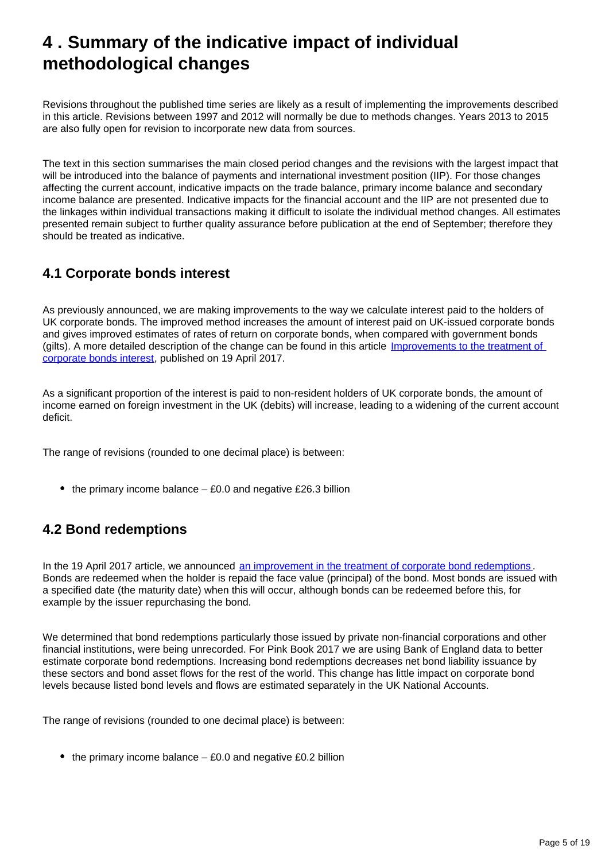## <span id="page-4-0"></span>**4 . Summary of the indicative impact of individual methodological changes**

Revisions throughout the published time series are likely as a result of implementing the improvements described in this article. Revisions between 1997 and 2012 will normally be due to methods changes. Years 2013 to 2015 are also fully open for revision to incorporate new data from sources.

The text in this section summarises the main closed period changes and the revisions with the largest impact that will be introduced into the balance of payments and international investment position (IIP). For those changes affecting the current account, indicative impacts on the trade balance, primary income balance and secondary income balance are presented. Indicative impacts for the financial account and the IIP are not presented due to the linkages within individual transactions making it difficult to isolate the individual method changes. All estimates presented remain subject to further quality assurance before publication at the end of September; therefore they should be treated as indicative.

### **4.1 Corporate bonds interest**

As previously announced, we are making improvements to the way we calculate interest paid to the holders of UK corporate bonds. The improved method increases the amount of interest paid on UK-issued corporate bonds and gives improved estimates of rates of return on corporate bonds, when compared with government bonds (gilts). A more detailed description of the change can be found in this article [Improvements to the treatment of](https://www.ons.gov.uk/economy/nationalaccounts/uksectoraccounts/articles/nationalaccountsarticles/improvementstothetreatmentofcorporatebondsinterest)  [corporate bonds interest,](https://www.ons.gov.uk/economy/nationalaccounts/uksectoraccounts/articles/nationalaccountsarticles/improvementstothetreatmentofcorporatebondsinterest) published on 19 April 2017.

As a significant proportion of the interest is paid to non-resident holders of UK corporate bonds, the amount of income earned on foreign investment in the UK (debits) will increase, leading to a widening of the current account deficit.

The range of revisions (rounded to one decimal place) is between:

 $\bullet$  the primary income balance  $-$  £0.0 and negative £26.3 billion

### **4.2 Bond redemptions**

In the 19 April 2017 article, we announced [an improvement in the treatment of corporate bond redemptions](https://www.ons.gov.uk/economy/nationalaccounts/uksectoraccounts/articles/nationalaccountsarticles/improvementstothetreatmentofcorporatebondsinterest). Bonds are redeemed when the holder is repaid the face value (principal) of the bond. Most bonds are issued with a specified date (the maturity date) when this will occur, although bonds can be redeemed before this, for example by the issuer repurchasing the bond.

We determined that bond redemptions particularly those issued by private non-financial corporations and other financial institutions, were being unrecorded. For Pink Book 2017 we are using Bank of England data to better estimate corporate bond redemptions. Increasing bond redemptions decreases net bond liability issuance by these sectors and bond asset flows for the rest of the world. This change has little impact on corporate bond levels because listed bond levels and flows are estimated separately in the UK National Accounts.

The range of revisions (rounded to one decimal place) is between:

• the primary income balance  $-$  £0.0 and negative £0.2 billion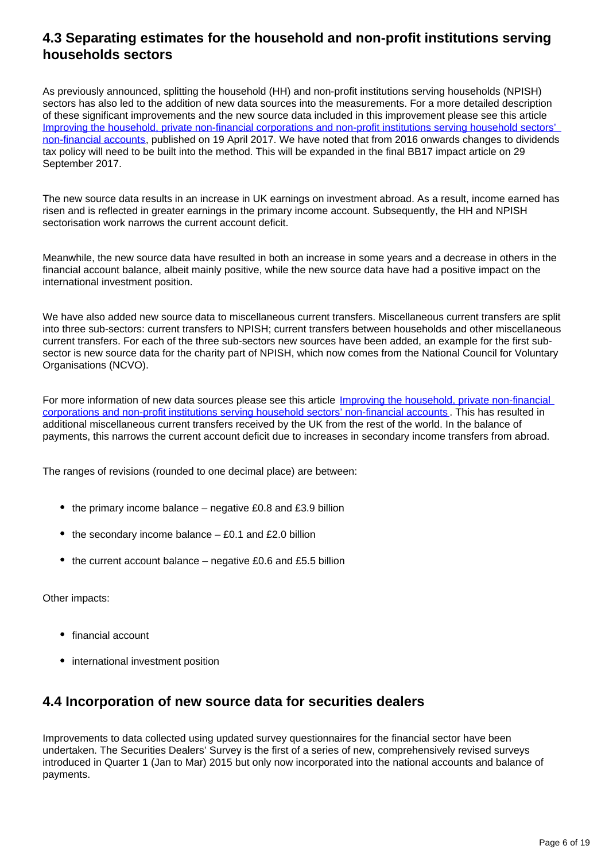### **4.3 Separating estimates for the household and non-profit institutions serving households sectors**

As previously announced, splitting the household (HH) and non-profit institutions serving households (NPISH) sectors has also led to the addition of new data sources into the measurements. For a more detailed description of these significant improvements and the new source data included in this improvement please see this article [Improving the household, private non-financial corporations and non-profit institutions serving household sectors'](https://www.ons.gov.uk/economy/nationalaccounts/uksectoraccounts/articles/nationalaccountsarticles/improvingthehouseholdprivatenonfinancialcorporationsandnonprofitsinstitutionsservinghouseholdssectorsnonfinancialaccounts)  [non-financial accounts,](https://www.ons.gov.uk/economy/nationalaccounts/uksectoraccounts/articles/nationalaccountsarticles/improvingthehouseholdprivatenonfinancialcorporationsandnonprofitsinstitutionsservinghouseholdssectorsnonfinancialaccounts) published on 19 April 2017. We have noted that from 2016 onwards changes to dividends tax policy will need to be built into the method. This will be expanded in the final BB17 impact article on 29 September 2017.

The new source data results in an increase in UK earnings on investment abroad. As a result, income earned has risen and is reflected in greater earnings in the primary income account. Subsequently, the HH and NPISH sectorisation work narrows the current account deficit.

Meanwhile, the new source data have resulted in both an increase in some years and a decrease in others in the financial account balance, albeit mainly positive, while the new source data have had a positive impact on the international investment position.

We have also added new source data to miscellaneous current transfers. Miscellaneous current transfers are split into three sub-sectors: current transfers to NPISH; current transfers between households and other miscellaneous current transfers. For each of the three sub-sectors new sources have been added, an example for the first subsector is new source data for the charity part of NPISH, which now comes from the National Council for Voluntary Organisations (NCVO).

For more information of new data sources please see this article Improving the household, private non-financial [corporations and non-profit institutions serving household sectors' non-financial accounts](https://www.ons.gov.uk/economy/nationalaccounts/uksectoraccounts/articles/nationalaccountsarticles/improvingthehouseholdprivatenonfinancialcorporationsandnonprofitsinstitutionsservinghouseholdssectorsnonfinancialaccounts) . This has resulted in additional miscellaneous current transfers received by the UK from the rest of the world. In the balance of payments, this narrows the current account deficit due to increases in secondary income transfers from abroad.

The ranges of revisions (rounded to one decimal place) are between:

- $\bullet$  the primary income balance negative £0.8 and £3.9 billion
- the secondary income balance  $-$  £0.1 and £2.0 billion
- $\bullet$  the current account balance negative £0.6 and £5.5 billion

Other impacts:

- financial account
- international investment position

### **4.4 Incorporation of new source data for securities dealers**

Improvements to data collected using updated survey questionnaires for the financial sector have been undertaken. The Securities Dealers' Survey is the first of a series of new, comprehensively revised surveys introduced in Quarter 1 (Jan to Mar) 2015 but only now incorporated into the national accounts and balance of payments.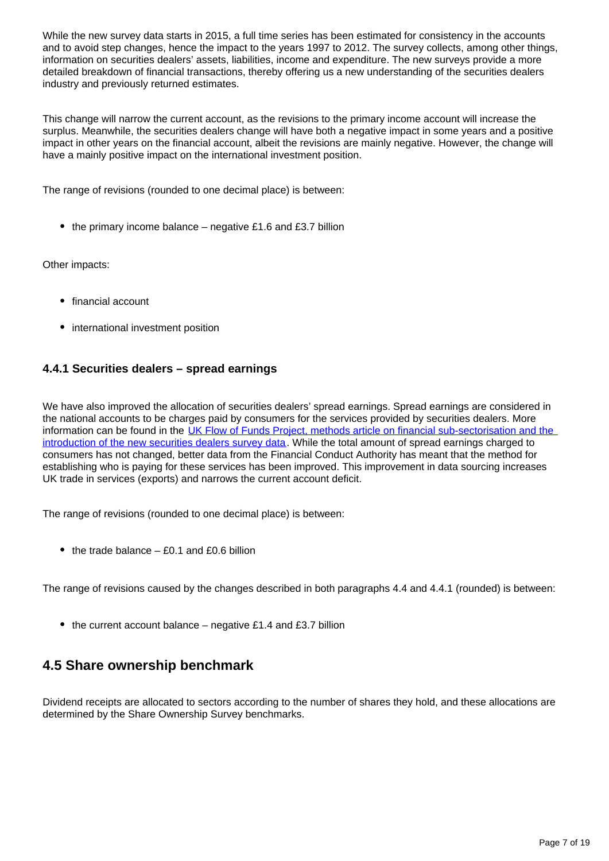While the new survey data starts in 2015, a full time series has been estimated for consistency in the accounts and to avoid step changes, hence the impact to the years 1997 to 2012. The survey collects, among other things, information on securities dealers' assets, liabilities, income and expenditure. The new surveys provide a more detailed breakdown of financial transactions, thereby offering us a new understanding of the securities dealers industry and previously returned estimates.

This change will narrow the current account, as the revisions to the primary income account will increase the surplus. Meanwhile, the securities dealers change will have both a negative impact in some years and a positive impact in other years on the financial account, albeit the revisions are mainly negative. However, the change will have a mainly positive impact on the international investment position.

The range of revisions (rounded to one decimal place) is between:

• the primary income balance – negative £1.6 and £3.7 billion

Other impacts:

- financial account
- international investment position

#### **4.4.1 Securities dealers – spread earnings**

We have also improved the allocation of securities dealers' spread earnings. Spread earnings are considered in the national accounts to be charges paid by consumers for the services provided by securities dealers. More information can be found in the UK Flow of Funds Project, methods article on financial sub-sectorisation and the [introduction of the new securities dealers survey data](https://www.ons.gov.uk/economy/nationalaccounts/uksectoraccounts/articles/nationalaccountsarticles/theukenhancedfinancialaccountstheintroductionofthenewsecuritiesdealerssurveydataandexpansionoffinancialsubsectordetail). While the total amount of spread earnings charged to consumers has not changed, better data from the Financial Conduct Authority has meant that the method for establishing who is paying for these services has been improved. This improvement in data sourcing increases UK trade in services (exports) and narrows the current account deficit.

The range of revisions (rounded to one decimal place) is between:

• the trade balance  $-$  £0.1 and £0.6 billion

The range of revisions caused by the changes described in both paragraphs 4.4 and 4.4.1 (rounded) is between:

 $\bullet$  the current account balance – negative £1.4 and £3.7 billion

### **4.5 Share ownership benchmark**

Dividend receipts are allocated to sectors according to the number of shares they hold, and these allocations are determined by the Share Ownership Survey benchmarks.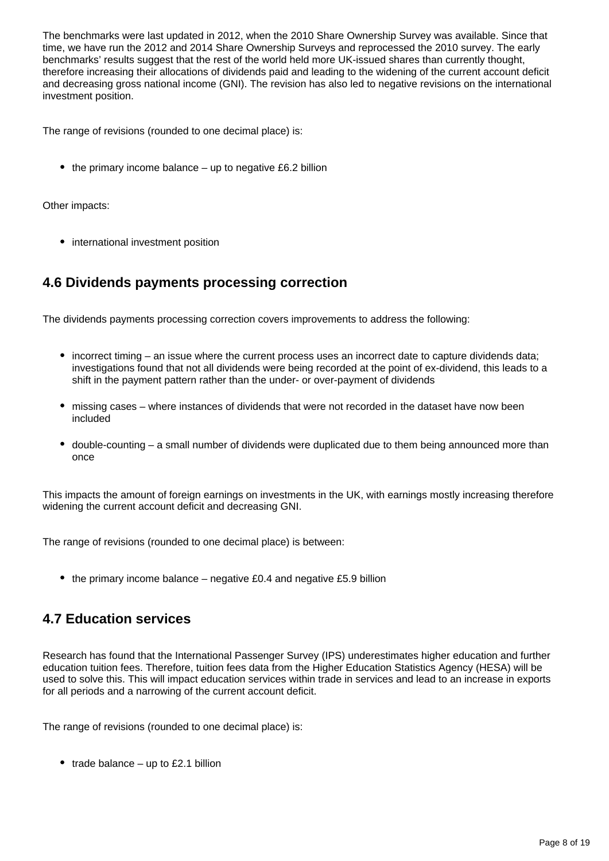The benchmarks were last updated in 2012, when the 2010 Share Ownership Survey was available. Since that time, we have run the 2012 and 2014 Share Ownership Surveys and reprocessed the 2010 survey. The early benchmarks' results suggest that the rest of the world held more UK-issued shares than currently thought, therefore increasing their allocations of dividends paid and leading to the widening of the current account deficit and decreasing gross national income (GNI). The revision has also led to negative revisions on the international investment position.

The range of revisions (rounded to one decimal place) is:

 $\bullet$  the primary income balance – up to negative £6.2 billion

Other impacts:

• international investment position

### **4.6 Dividends payments processing correction**

The dividends payments processing correction covers improvements to address the following:

- incorrect timing an issue where the current process uses an incorrect date to capture dividends data; investigations found that not all dividends were being recorded at the point of ex-dividend, this leads to a shift in the payment pattern rather than the under- or over-payment of dividends
- missing cases where instances of dividends that were not recorded in the dataset have now been included
- double-counting a small number of dividends were duplicated due to them being announced more than once

This impacts the amount of foreign earnings on investments in the UK, with earnings mostly increasing therefore widening the current account deficit and decreasing GNI.

The range of revisions (rounded to one decimal place) is between:

 $\bullet$  the primary income balance – negative £0.4 and negative £5.9 billion

### **4.7 Education services**

Research has found that the International Passenger Survey (IPS) underestimates higher education and further education tuition fees. Therefore, tuition fees data from the Higher Education Statistics Agency (HESA) will be used to solve this. This will impact education services within trade in services and lead to an increase in exports for all periods and a narrowing of the current account deficit.

The range of revisions (rounded to one decimal place) is:

• trade balance – up to £2.1 billion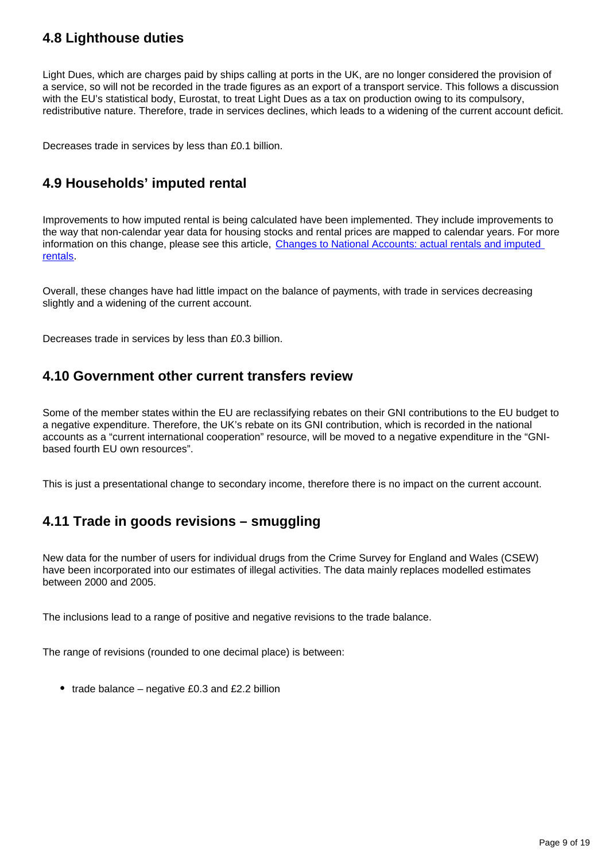### **4.8 Lighthouse duties**

Light Dues, which are charges paid by ships calling at ports in the UK, are no longer considered the provision of a service, so will not be recorded in the trade figures as an export of a transport service. This follows a discussion with the EU's statistical body, Eurostat, to treat Light Dues as a tax on production owing to its compulsory, redistributive nature. Therefore, trade in services declines, which leads to a widening of the current account deficit.

Decreases trade in services by less than £0.1 billion.

### **4.9 Households' imputed rental**

Improvements to how imputed rental is being calculated have been implemented. They include improvements to the way that non-calendar year data for housing stocks and rental prices are mapped to calendar years. For more information on this change, please see this article, [Changes to National Accounts: actual rentals and imputed](https://www.ons.gov.uk/economy/nationalaccounts/uksectoraccounts/articles/nationalaccountsarticles/actualandimputedrentalbluebook2017)  [rentals](https://www.ons.gov.uk/economy/nationalaccounts/uksectoraccounts/articles/nationalaccountsarticles/actualandimputedrentalbluebook2017).

Overall, these changes have had little impact on the balance of payments, with trade in services decreasing slightly and a widening of the current account.

Decreases trade in services by less than £0.3 billion.

### **4.10 Government other current transfers review**

Some of the member states within the EU are reclassifying rebates on their GNI contributions to the EU budget to a negative expenditure. Therefore, the UK's rebate on its GNI contribution, which is recorded in the national accounts as a "current international cooperation" resource, will be moved to a negative expenditure in the "GNIbased fourth EU own resources".

This is just a presentational change to secondary income, therefore there is no impact on the current account.

### **4.11 Trade in goods revisions – smuggling**

New data for the number of users for individual drugs from the Crime Survey for England and Wales (CSEW) have been incorporated into our estimates of illegal activities. The data mainly replaces modelled estimates between 2000 and 2005.

The inclusions lead to a range of positive and negative revisions to the trade balance.

The range of revisions (rounded to one decimal place) is between:

• trade balance – negative £0.3 and  $£2.2$  billion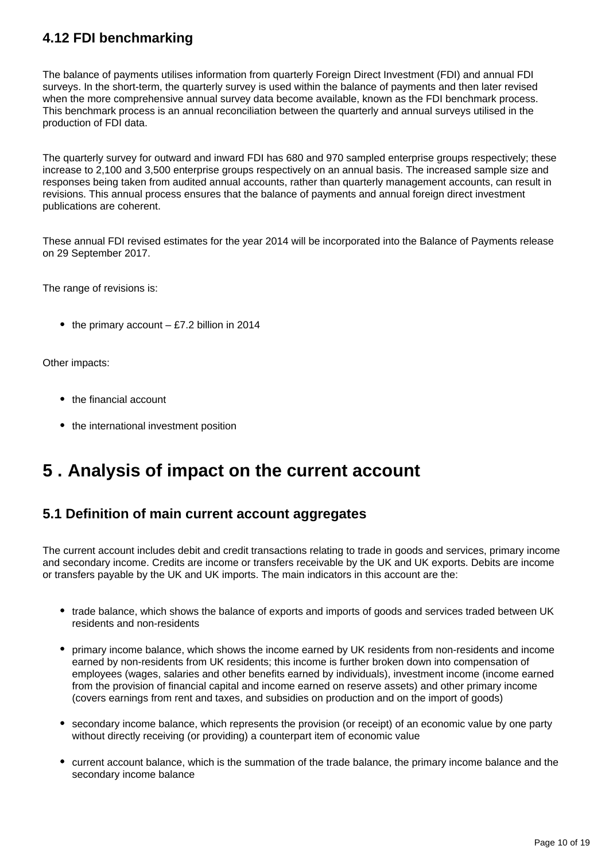### **4.12 FDI benchmarking**

The balance of payments utilises information from quarterly Foreign Direct Investment (FDI) and annual FDI surveys. In the short-term, the quarterly survey is used within the balance of payments and then later revised when the more comprehensive annual survey data become available, known as the FDI benchmark process. This benchmark process is an annual reconciliation between the quarterly and annual surveys utilised in the production of FDI data.

The quarterly survey for outward and inward FDI has 680 and 970 sampled enterprise groups respectively; these increase to 2,100 and 3,500 enterprise groups respectively on an annual basis. The increased sample size and responses being taken from audited annual accounts, rather than quarterly management accounts, can result in revisions. This annual process ensures that the balance of payments and annual foreign direct investment publications are coherent.

These annual FDI revised estimates for the year 2014 will be incorporated into the Balance of Payments release on 29 September 2017.

The range of revisions is:

• the primary account  $-$  £7.2 billion in 2014

Other impacts:

- the financial account
- the international investment position

## <span id="page-9-0"></span>**5 . Analysis of impact on the current account**

### **5.1 Definition of main current account aggregates**

The current account includes debit and credit transactions relating to trade in goods and services, primary income and secondary income. Credits are income or transfers receivable by the UK and UK exports. Debits are income or transfers payable by the UK and UK imports. The main indicators in this account are the:

- trade balance, which shows the balance of exports and imports of goods and services traded between UK residents and non-residents
- primary income balance, which shows the income earned by UK residents from non-residents and income earned by non-residents from UK residents; this income is further broken down into compensation of employees (wages, salaries and other benefits earned by individuals), investment income (income earned from the provision of financial capital and income earned on reserve assets) and other primary income (covers earnings from rent and taxes, and subsidies on production and on the import of goods)
- secondary income balance, which represents the provision (or receipt) of an economic value by one party without directly receiving (or providing) a counterpart item of economic value
- current account balance, which is the summation of the trade balance, the primary income balance and the secondary income balance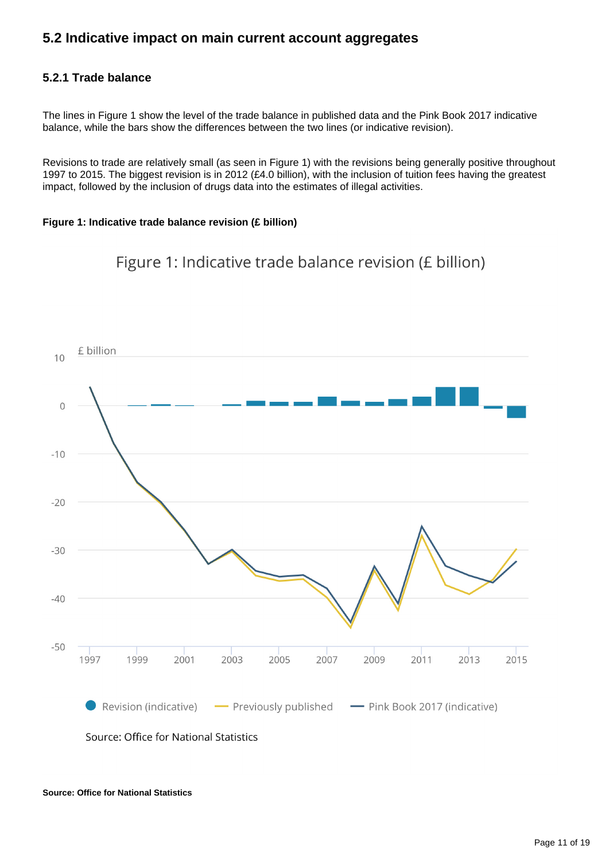### **5.2 Indicative impact on main current account aggregates**

#### **5.2.1 Trade balance**

The lines in Figure 1 show the level of the trade balance in published data and the Pink Book 2017 indicative balance, while the bars show the differences between the two lines (or indicative revision).

Revisions to trade are relatively small (as seen in Figure 1) with the revisions being generally positive throughout 1997 to 2015. The biggest revision is in 2012 (£4.0 billion), with the inclusion of tuition fees having the greatest impact, followed by the inclusion of drugs data into the estimates of illegal activities.

#### **Figure 1: Indicative trade balance revision (£ billion)**





Source: Office for National Statistics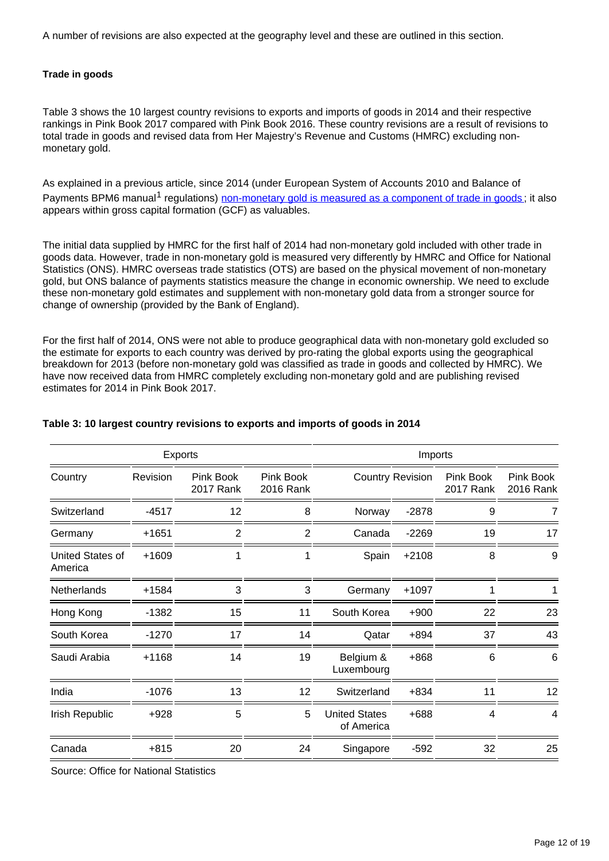A number of revisions are also expected at the geography level and these are outlined in this section.

#### **Trade in goods**

Table 3 shows the 10 largest country revisions to exports and imports of goods in 2014 and their respective rankings in Pink Book 2017 compared with Pink Book 2016. These country revisions are a result of revisions to total trade in goods and revised data from Her Majestry's Revenue and Customs (HMRC) excluding nonmonetary gold.

As explained in a previous article, since 2014 (under European System of Accounts 2010 and Balance of PaymentsBPM6 manual<sup>1</sup> regulations) non-monetary gold is measured as a component of trade in goods; it also appears within gross capital formation (GCF) as valuables.

The initial data supplied by HMRC for the first half of 2014 had non-monetary gold included with other trade in goods data. However, trade in non-monetary gold is measured very differently by HMRC and Office for National Statistics (ONS). HMRC overseas trade statistics (OTS) are based on the physical movement of non-monetary gold, but ONS balance of payments statistics measure the change in economic ownership. We need to exclude these non-monetary gold estimates and supplement with non-monetary gold data from a stronger source for change of ownership (provided by the Bank of England).

For the first half of 2014, ONS were not able to produce geographical data with non-monetary gold excluded so the estimate for exports to each country was derived by pro-rating the global exports using the geographical breakdown for 2013 (before non-monetary gold was classified as trade in goods and collected by HMRC). We have now received data from HMRC completely excluding non-monetary gold and are publishing revised estimates for 2014 in Pink Book 2017.

| Exports                     |          |                        |                        |                                    | Imports |                        |                        |
|-----------------------------|----------|------------------------|------------------------|------------------------------------|---------|------------------------|------------------------|
| Country                     | Revision | Pink Book<br>2017 Rank | Pink Book<br>2016 Rank | <b>Country Revision</b>            |         | Pink Book<br>2017 Rank | Pink Book<br>2016 Rank |
| Switzerland                 | $-4517$  | 12                     | 8                      | Norway                             | $-2878$ | 9                      |                        |
| Germany                     | +1651    | 2                      | 2                      | Canada                             | $-2269$ | 19                     | 17                     |
| United States of<br>America | +1609    |                        |                        | Spain                              | $+2108$ | 8                      | 9                      |
| Netherlands                 | +1584    | 3                      | 3                      | Germany                            | $+1097$ |                        | 1                      |
| Hong Kong                   | $-1382$  | 15                     | 11                     | South Korea                        | $+900$  | 22                     | 23                     |
| South Korea                 | $-1270$  | 17                     | 14                     | Qatar                              | $+894$  | 37                     | 43                     |
| Saudi Arabia                | +1168    | 14                     | 19                     | Belgium &<br>Luxembourg            | +868    | 6                      | 6                      |
| India                       | $-1076$  | 13                     | 12                     | Switzerland                        | $+834$  | 11                     | 12                     |
| Irish Republic              | $+928$   | 5                      | 5                      | <b>United States</b><br>of America | +688    | 4                      | 4                      |
| Canada                      | $+815$   | 20                     | 24                     | Singapore                          | $-592$  | 32                     | 25                     |

#### **Table 3: 10 largest country revisions to exports and imports of goods in 2014**

Source: Office for National Statistics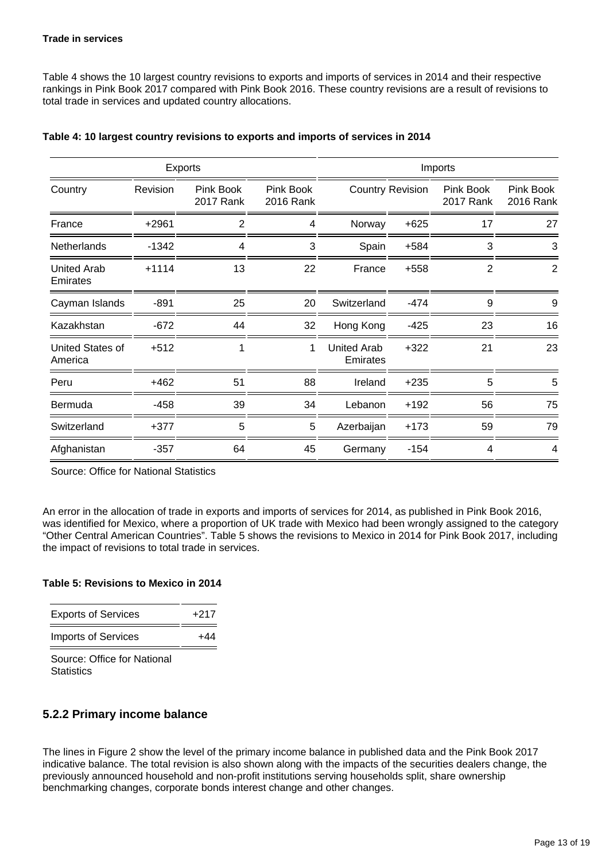Table 4 shows the 10 largest country revisions to exports and imports of services in 2014 and their respective rankings in Pink Book 2017 compared with Pink Book 2016. These country revisions are a result of revisions to total trade in services and updated country allocations.

| <b>Exports</b>                     |          |                        |                        |                                |                         | Imports                |                        |
|------------------------------------|----------|------------------------|------------------------|--------------------------------|-------------------------|------------------------|------------------------|
| Country                            | Revision | Pink Book<br>2017 Rank | Pink Book<br>2016 Rank |                                | <b>Country Revision</b> | Pink Book<br>2017 Rank | Pink Book<br>2016 Rank |
| France                             | $+2961$  | $\overline{2}$         | 4                      | Norway                         | $+625$                  | 17                     | 27                     |
| <b>Netherlands</b>                 | $-1342$  | 4                      | 3                      | Spain                          | $+584$                  | 3                      | 3                      |
| <b>United Arab</b><br>Emirates     | $+1114$  | 13                     | 22                     | France                         | $+558$                  | $\overline{2}$         | $\overline{2}$         |
| Cayman Islands                     | $-891$   | 25                     | 20                     | Switzerland                    | $-474$                  | 9                      | 9                      |
| Kazakhstan                         | $-672$   | 44                     | 32                     | Hong Kong                      | $-425$                  | 23                     | 16                     |
| <b>United States of</b><br>America | $+512$   | 1                      | 1                      | <b>United Arab</b><br>Emirates | $+322$                  | 21                     | 23                     |
| Peru                               | $+462$   | 51                     | 88                     | Ireland                        | $+235$                  | 5                      | 5                      |
| Bermuda                            | $-458$   | 39                     | 34                     | Lebanon                        | $+192$                  | 56                     | 75                     |
| Switzerland                        | $+377$   | 5                      | 5                      | Azerbaijan                     | $+173$                  | 59                     | 79                     |
| Afghanistan                        | $-357$   | 64                     | 45                     | Germany                        | $-154$                  | 4                      | 4                      |

#### **Table 4: 10 largest country revisions to exports and imports of services in 2014**

Source: Office for National Statistics

An error in the allocation of trade in exports and imports of services for 2014, as published in Pink Book 2016, was identified for Mexico, where a proportion of UK trade with Mexico had been wrongly assigned to the category "Other Central American Countries". Table 5 shows the revisions to Mexico in 2014 for Pink Book 2017, including the impact of revisions to total trade in services.

#### **Table 5: Revisions to Mexico in 2014**

| <b>Exports of Services</b> | +217 |
|----------------------------|------|
| <b>Imports of Services</b> | +44  |

Source: Office for National **Statistics** 

#### **5.2.2 Primary income balance**

The lines in Figure 2 show the level of the primary income balance in published data and the Pink Book 2017 indicative balance. The total revision is also shown along with the impacts of the securities dealers change, the previously announced household and non-profit institutions serving households split, share ownership benchmarking changes, corporate bonds interest change and other changes.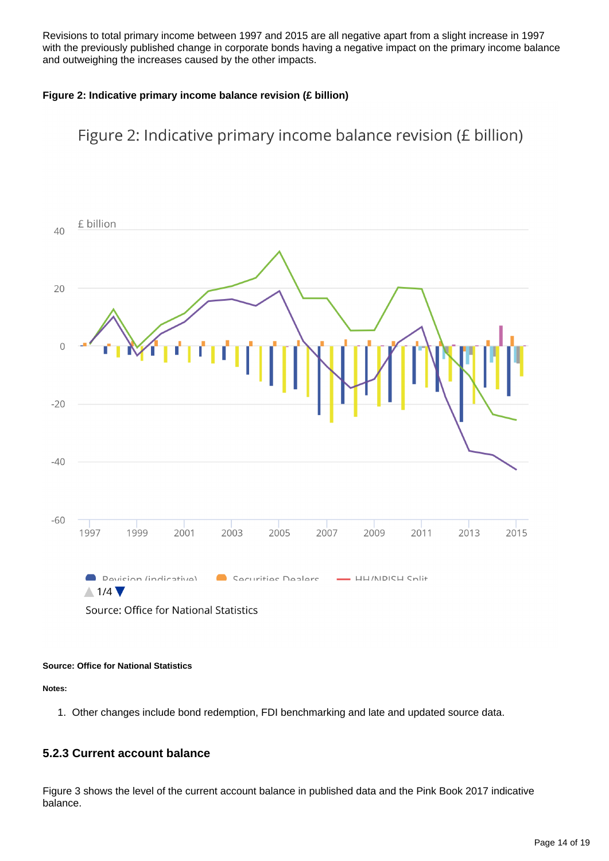Revisions to total primary income between 1997 and 2015 are all negative apart from a slight increase in 1997 with the previously published change in corporate bonds having a negative impact on the primary income balance and outweighing the increases caused by the other impacts.

#### **Figure 2: Indicative primary income balance revision (£ billion)**





#### **Source: Office for National Statistics**

**Notes:**

1. Other changes include bond redemption, FDI benchmarking and late and updated source data.

#### **5.2.3 Current account balance**

Figure 3 shows the level of the current account balance in published data and the Pink Book 2017 indicative balance.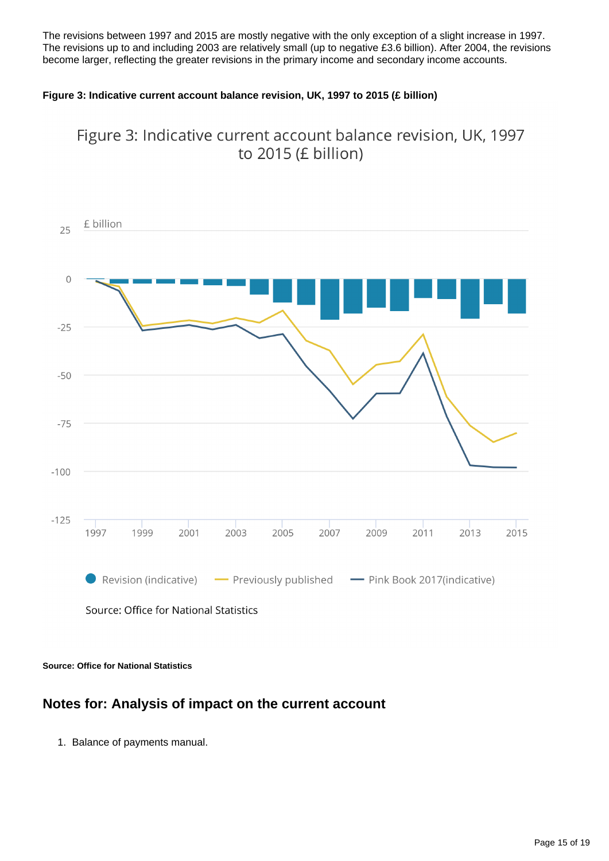The revisions between 1997 and 2015 are mostly negative with the only exception of a slight increase in 1997. The revisions up to and including 2003 are relatively small (up to negative £3.6 billion). After 2004, the revisions become larger, reflecting the greater revisions in the primary income and secondary income accounts.

#### **Figure 3: Indicative current account balance revision, UK, 1997 to 2015 (£ billion)**



Figure 3: Indicative current account balance revision, UK, 1997 to 2015 (£ billion)

**Source: Office for National Statistics**

### **Notes for: Analysis of impact on the current account**

1. Balance of payments manual.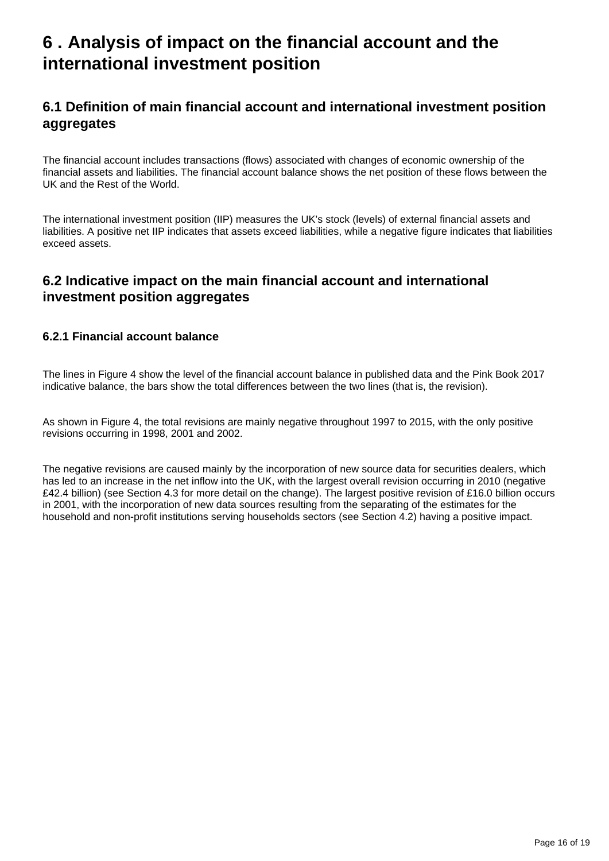## <span id="page-15-0"></span>**6 . Analysis of impact on the financial account and the international investment position**

### **6.1 Definition of main financial account and international investment position aggregates**

The financial account includes transactions (flows) associated with changes of economic ownership of the financial assets and liabilities. The financial account balance shows the net position of these flows between the UK and the Rest of the World.

The international investment position (IIP) measures the UK's stock (levels) of external financial assets and liabilities. A positive net IIP indicates that assets exceed liabilities, while a negative figure indicates that liabilities exceed assets.

### **6.2 Indicative impact on the main financial account and international investment position aggregates**

#### **6.2.1 Financial account balance**

The lines in Figure 4 show the level of the financial account balance in published data and the Pink Book 2017 indicative balance, the bars show the total differences between the two lines (that is, the revision).

As shown in Figure 4, the total revisions are mainly negative throughout 1997 to 2015, with the only positive revisions occurring in 1998, 2001 and 2002.

The negative revisions are caused mainly by the incorporation of new source data for securities dealers, which has led to an increase in the net inflow into the UK, with the largest overall revision occurring in 2010 (negative £42.4 billion) (see Section 4.3 for more detail on the change). The largest positive revision of £16.0 billion occurs in 2001, with the incorporation of new data sources resulting from the separating of the estimates for the household and non-profit institutions serving households sectors (see Section 4.2) having a positive impact.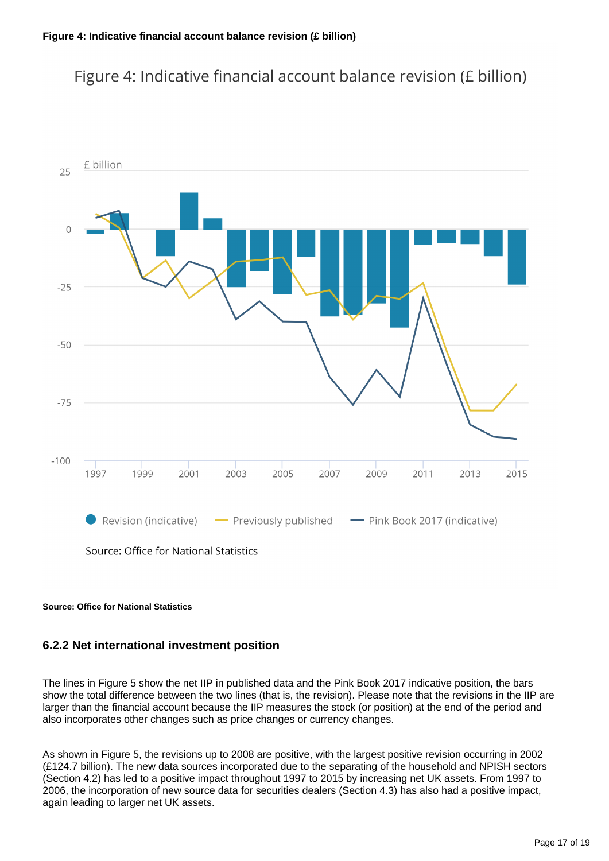### Figure 4: Indicative financial account balance revision (£ billion)



#### **Source: Office for National Statistics**

#### **6.2.2 Net international investment position**

The lines in Figure 5 show the net IIP in published data and the Pink Book 2017 indicative position, the bars show the total difference between the two lines (that is, the revision). Please note that the revisions in the IIP are larger than the financial account because the IIP measures the stock (or position) at the end of the period and also incorporates other changes such as price changes or currency changes.

As shown in Figure 5, the revisions up to 2008 are positive, with the largest positive revision occurring in 2002 (£124.7 billion). The new data sources incorporated due to the separating of the household and NPISH sectors (Section 4.2) has led to a positive impact throughout 1997 to 2015 by increasing net UK assets. From 1997 to 2006, the incorporation of new source data for securities dealers (Section 4.3) has also had a positive impact, again leading to larger net UK assets.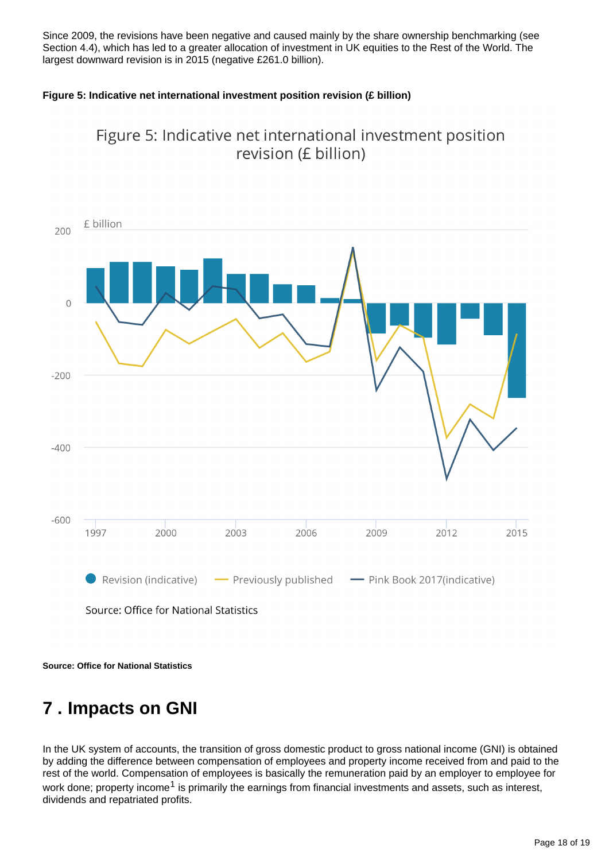Since 2009, the revisions have been negative and caused mainly by the share ownership benchmarking (see Section 4.4), which has led to a greater allocation of investment in UK equities to the Rest of the World. The largest downward revision is in 2015 (negative £261.0 billion).

#### **Figure 5: Indicative net international investment position revision (£ billion)**



Figure 5: Indicative net international investment position revision (£ billion)

**Source: Office for National Statistics**

## <span id="page-17-0"></span>**7 . Impacts on GNI**

In the UK system of accounts, the transition of gross domestic product to gross national income (GNI) is obtained by adding the difference between compensation of employees and property income received from and paid to the rest of the world. Compensation of employees is basically the remuneration paid by an employer to employee for work done; property income<sup>1</sup> is primarily the earnings from financial investments and assets, such as interest, dividends and repatriated profits.